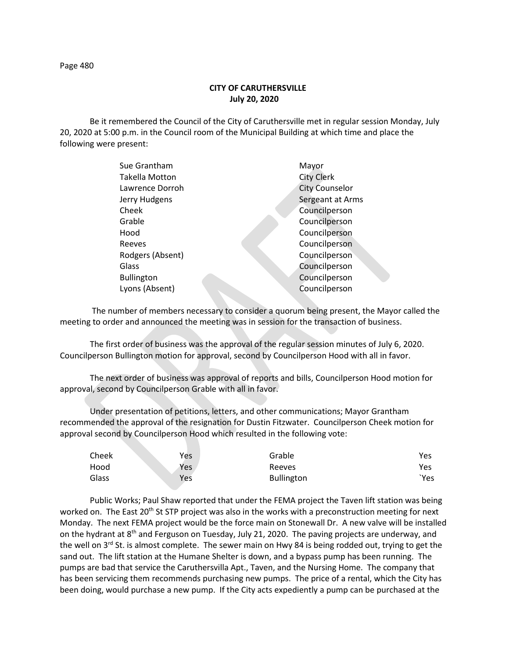## **CITY OF CARUTHERSVILLE July 20, 2020**

Be it remembered the Council of the City of Caruthersville met in regular session Monday, July 20, 2020 at 5:00 p.m. in the Council room of the Municipal Building at which time and place the following were present:

| Sue Grantham          | Mayor                 |
|-----------------------|-----------------------|
| <b>Takella Motton</b> | <b>City Clerk</b>     |
| Lawrence Dorroh       | <b>City Counselor</b> |
| Jerry Hudgens         | Sergeant at Arms      |
| Cheek                 | Councilperson         |
| Grable                | Councilperson         |
| Hood                  | Councilperson         |
| Reeves                | Councilperson         |
| Rodgers (Absent)      | Councilperson         |
| Glass                 | Councilperson         |
| <b>Bullington</b>     | Councilperson         |
| Lyons (Absent)        | Councilperson         |
|                       |                       |

 The number of members necessary to consider a quorum being present, the Mayor called the meeting to order and announced the meeting was in session for the transaction of business.

The first order of business was the approval of the regular session minutes of July 6, 2020. Councilperson Bullington motion for approval, second by Councilperson Hood with all in favor.

The next order of business was approval of reports and bills, Councilperson Hood motion for approval, second by Councilperson Grable with all in favor.

Under presentation of petitions, letters, and other communications; Mayor Grantham recommended the approval of the resignation for Dustin Fitzwater. Councilperson Cheek motion for approval second by Councilperson Hood which resulted in the following vote:

| Cheek | <b>Yes</b> | Grable     | Yes  |
|-------|------------|------------|------|
| Hood  | Yes        | Reeves     | Yes  |
| Glass | Yes        | Bullington | `Yes |

Public Works; Paul Shaw reported that under the FEMA project the Taven lift station was being worked on. The East 20<sup>th</sup> St STP project was also in the works with a preconstruction meeting for next Monday. The next FEMA project would be the force main on Stonewall Dr. A new valve will be installed on the hydrant at 8<sup>th</sup> and Ferguson on Tuesday, July 21, 2020. The paving projects are underway, and the well on  $3^{rd}$  St. is almost complete. The sewer main on Hwy 84 is being rodded out, trying to get the sand out. The lift station at the Humane Shelter is down, and a bypass pump has been running. The pumps are bad that service the Caruthersvilla Apt., Taven, and the Nursing Home. The company that has been servicing them recommends purchasing new pumps. The price of a rental, which the City has been doing, would purchase a new pump. If the City acts expediently a pump can be purchased at the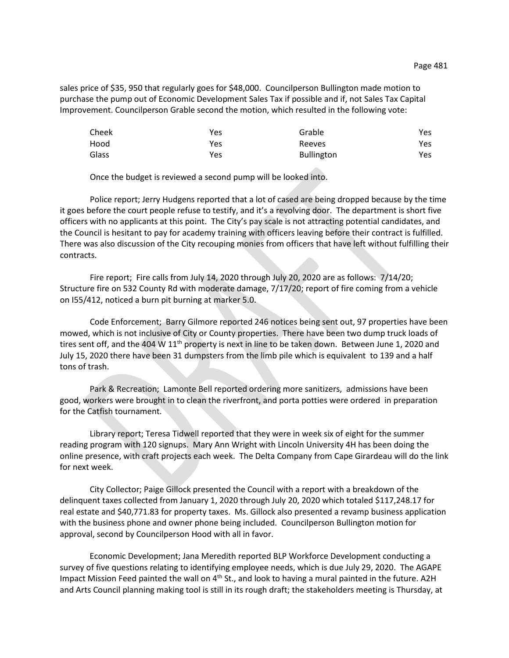sales price of \$35, 950 that regularly goes for \$48,000. Councilperson Bullington made motion to purchase the pump out of Economic Development Sales Tax if possible and if, not Sales Tax Capital Improvement. Councilperson Grable second the motion, which resulted in the following vote:

| Cheek | Yes | Grable            | Yes |
|-------|-----|-------------------|-----|
| Hood  | Yes | Reeves            | Yes |
| Glass | Yes | <b>Bullington</b> | Yes |

Once the budget is reviewed a second pump will be looked into.

Police report; Jerry Hudgens reported that a lot of cased are being dropped because by the time it goes before the court people refuse to testify, and it's a revolving door. The department is short five officers with no applicants at this point. The City's pay scale is not attracting potential candidates, and the Council is hesitant to pay for academy training with officers leaving before their contract is fulfilled. There was also discussion of the City recouping monies from officers that have left without fulfilling their contracts.

Fire report; Fire calls from July 14, 2020 through July 20, 2020 are as follows: 7/14/20; Structure fire on 532 County Rd with moderate damage, 7/17/20; report of fire coming from a vehicle on I55/412, noticed a burn pit burning at marker 5.0.

Code Enforcement; Barry Gilmore reported 246 notices being sent out, 97 properties have been mowed, which is not inclusive of City or County properties. There have been two dump truck loads of tires sent off, and the 404 W  $11<sup>th</sup>$  property is next in line to be taken down. Between June 1, 2020 and July 15, 2020 there have been 31 dumpsters from the limb pile which is equivalent to 139 and a half tons of trash.

Park & Recreation; Lamonte Bell reported ordering more sanitizers, admissions have been good, workers were brought in to clean the riverfront, and porta potties were ordered in preparation for the Catfish tournament.

Library report; Teresa Tidwell reported that they were in week six of eight for the summer reading program with 120 signups. Mary Ann Wright with Lincoln University 4H has been doing the online presence, with craft projects each week. The Delta Company from Cape Girardeau will do the link for next week.

City Collector; Paige Gillock presented the Council with a report with a breakdown of the delinquent taxes collected from January 1, 2020 through July 20, 2020 which totaled \$117,248.17 for real estate and \$40,771.83 for property taxes. Ms. Gillock also presented a revamp business application with the business phone and owner phone being included. Councilperson Bullington motion for approval, second by Councilperson Hood with all in favor.

Economic Development; Jana Meredith reported BLP Workforce Development conducting a survey of five questions relating to identifying employee needs, which is due July 29, 2020. The AGAPE Impact Mission Feed painted the wall on 4<sup>th</sup> St., and look to having a mural painted in the future. A2H and Arts Council planning making tool is still in its rough draft; the stakeholders meeting is Thursday, at